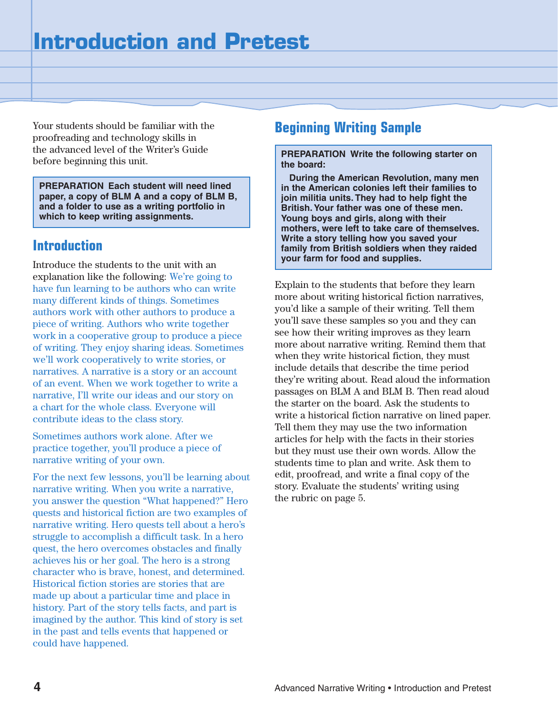Your students should be familiar with the proofreading and technology skills in the advanced level of the Writer's Guide before beginning this unit.

**PREPARATION Each student will need lined paper, a copy of BLM A and a copy of BLM B, and a folder to use as a writing portfolio in which to keep writing assignments.**

### **Introduction**

Introduce the students to the unit with an explanation like the following: We're going to have fun learning to be authors who can write many different kinds of things. Sometimes authors work with other authors to produce a piece of writing. Authors who write together work in a cooperative group to produce a piece of writing. They enjoy sharing ideas. Sometimes we'll work cooperatively to write stories, or narratives. A narrative is a story or an account of an event. When we work together to write a narrative, I'll write our ideas and our story on a chart for the whole class. Everyone will contribute ideas to the class story.

Sometimes authors work alone. After we practice together, you'll produce a piece of narrative writing of your own.

For the next few lessons, you'll be learning about narrative writing. When you write a narrative, you answer the question "What happened?" Hero quests and historical fiction are two examples of narrative writing. Hero quests tell about a hero's struggle to accomplish a difficult task. In a hero quest, the hero overcomes obstacles and finally achieves his or her goal. The hero is a strong character who is brave, honest, and determined. Historical fiction stories are stories that are made up about a particular time and place in history. Part of the story tells facts, and part is imagined by the author. This kind of story is set in the past and tells events that happened or could have happened.

## **Beginning Writing Sample**

**PREPARATION Write the following starter on the board:**

**During the American Revolution, many men in the American colonies left their families to join militia units. They had to help fight the British. Your father was one of these men. Young boys and girls, along with their mothers, were left to take care of themselves. Write a story telling how you saved your family from British soldiers when they raided your farm for food and supplies.**

Explain to the students that before they learn more about writing historical fiction narratives, you'd like a sample of their writing. Tell them you'll save these samples so you and they can see how their writing improves as they learn more about narrative writing. Remind them that when they write historical fiction, they must include details that describe the time period they're writing about. Read aloud the information passages on BLM A and BLM B. Then read aloud the starter on the board. Ask the students to write a historical fiction narrative on lined paper. Tell them they may use the two information articles for help with the facts in their stories but they must use their own words. Allow the students time to plan and write. Ask them to edit, proofread, and write a final copy of the story. Evaluate the students' writing using the rubric on page 5.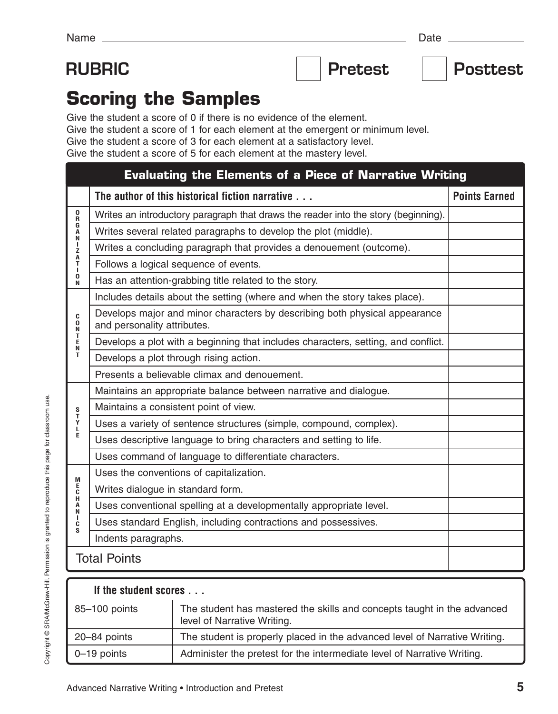RUBRIC **Pretest Posttest** 

# **Scoring the Samples**

Give the student a score of 0 if there is no evidence of the element. Give the student a score of 1 for each element at the emergent or minimum level. Give the student a score of 3 for each element at a satisfactory level. Give the student a score of 5 for each element at the mastery level.

|                                                      | <b>Evaluating the Elements of a Piece of Narrative Writing</b>                                            |                      |  |
|------------------------------------------------------|-----------------------------------------------------------------------------------------------------------|----------------------|--|
|                                                      | The author of this historical fiction narrative                                                           | <b>Points Earned</b> |  |
| 0<br>Ř<br>G<br>A<br>N<br>J.<br>z<br>Α<br>T<br>0<br>N | Writes an introductory paragraph that draws the reader into the story (beginning).                        |                      |  |
|                                                      | Writes several related paragraphs to develop the plot (middle).                                           |                      |  |
|                                                      | Writes a concluding paragraph that provides a denouement (outcome).                                       |                      |  |
|                                                      | Follows a logical sequence of events.                                                                     |                      |  |
|                                                      | Has an attention-grabbing title related to the story.                                                     |                      |  |
| C<br>$\ddot{\mathbf{0}}$<br>N                        | Includes details about the setting (where and when the story takes place).                                |                      |  |
|                                                      | Develops major and minor characters by describing both physical appearance<br>and personality attributes. |                      |  |
| $_{E}^{T}$<br>N                                      | Develops a plot with a beginning that includes characters, setting, and conflict.                         |                      |  |
| T                                                    | Develops a plot through rising action.                                                                    |                      |  |
|                                                      | Presents a believable climax and denouement.                                                              |                      |  |
|                                                      | Maintains an appropriate balance between narrative and dialogue.                                          |                      |  |
|                                                      | Maintains a consistent point of view.                                                                     |                      |  |
| S<br>T<br>Y<br>L                                     | Uses a variety of sentence structures (simple, compound, complex).                                        |                      |  |
| E                                                    | Uses descriptive language to bring characters and setting to life.                                        |                      |  |
|                                                      | Uses command of language to differentiate characters.                                                     |                      |  |
| M                                                    | Uses the conventions of capitalization.                                                                   |                      |  |
| $_{\rm c}^{\rm E}$                                   | Writes dialogue in standard form.                                                                         |                      |  |
| н<br>A<br>N                                          | Uses conventional spelling at a developmentally appropriate level.                                        |                      |  |
| п<br>C<br>S                                          | Uses standard English, including contractions and possessives.                                            |                      |  |
|                                                      | Indents paragraphs.                                                                                       |                      |  |
|                                                      | <b>Total Points</b>                                                                                       |                      |  |

| If the student scores |                                                                                                        |  |
|-----------------------|--------------------------------------------------------------------------------------------------------|--|
| 85-100 points         | The student has mastered the skills and concepts taught in the advanced<br>level of Narrative Writing. |  |
| 20-84 points          | The student is properly placed in the advanced level of Narrative Writing.                             |  |
| 0-19 points           | Administer the pretest for the intermediate level of Narrative Writing.                                |  |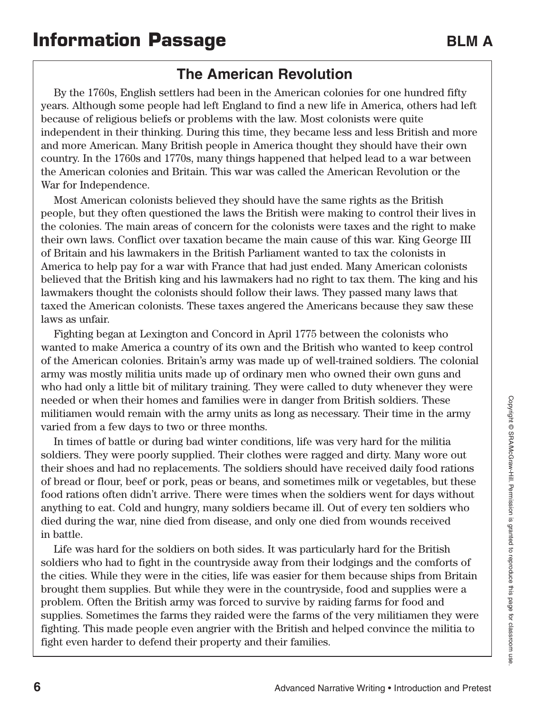# **The American Revolution**

By the 1760s, English settlers had been in the American colonies for one hundred fifty years. Although some people had left England to find a new life in America, others had left because of religious beliefs or problems with the law. Most colonists were quite independent in their thinking. During this time, they became less and less British and more and more American. Many British people in America thought they should have their own country. In the 1760s and 1770s, many things happened that helped lead to a war between the American colonies and Britain. This war was called the American Revolution or the War for Independence.

Most American colonists believed they should have the same rights as the British people, but they often questioned the laws the British were making to control their lives in the colonies. The main areas of concern for the colonists were taxes and the right to make their own laws. Conflict over taxation became the main cause of this war. King George III of Britain and his lawmakers in the British Parliament wanted to tax the colonists in America to help pay for a war with France that had just ended. Many American colonists believed that the British king and his lawmakers had no right to tax them. The king and his lawmakers thought the colonists should follow their laws. They passed many laws that taxed the American colonists. These taxes angered the Americans because they saw these laws as unfair.

Fighting began at Lexington and Concord in April 1775 between the colonists who wanted to make America a country of its own and the British who wanted to keep control of the American colonies. Britain's army was made up of well-trained soldiers. The colonial army was mostly militia units made up of ordinary men who owned their own guns and who had only a little bit of military training. They were called to duty whenever they were needed or when their homes and families were in danger from British soldiers. These militiamen would remain with the army units as long as necessary. Their time in the army varied from a few days to two or three months.

In times of battle or during bad winter conditions, life was very hard for the militia soldiers. They were poorly supplied. Their clothes were ragged and dirty. Many wore out their shoes and had no replacements. The soldiers should have received daily food rations of bread or flour, beef or pork, peas or beans, and sometimes milk or vegetables, but these food rations often didn't arrive. There were times when the soldiers went for days without anything to eat. Cold and hungry, many soldiers became ill. Out of every ten soldiers who died during the war, nine died from disease, and only one died from wounds received in battle.

Life was hard for the soldiers on both sides. It was particularly hard for the British soldiers who had to fight in the countryside away from their lodgings and the comforts of the cities. While they were in the cities, life was easier for them because ships from Britain brought them supplies. But while they were in the countryside, food and supplies were a problem. Often the British army was forced to survive by raiding farms for food and supplies. Sometimes the farms they raided were the farms of the very militiamen they were fighting. This made people even angrier with the British and helped convince the militia to fight even harder to defend their property and their families.